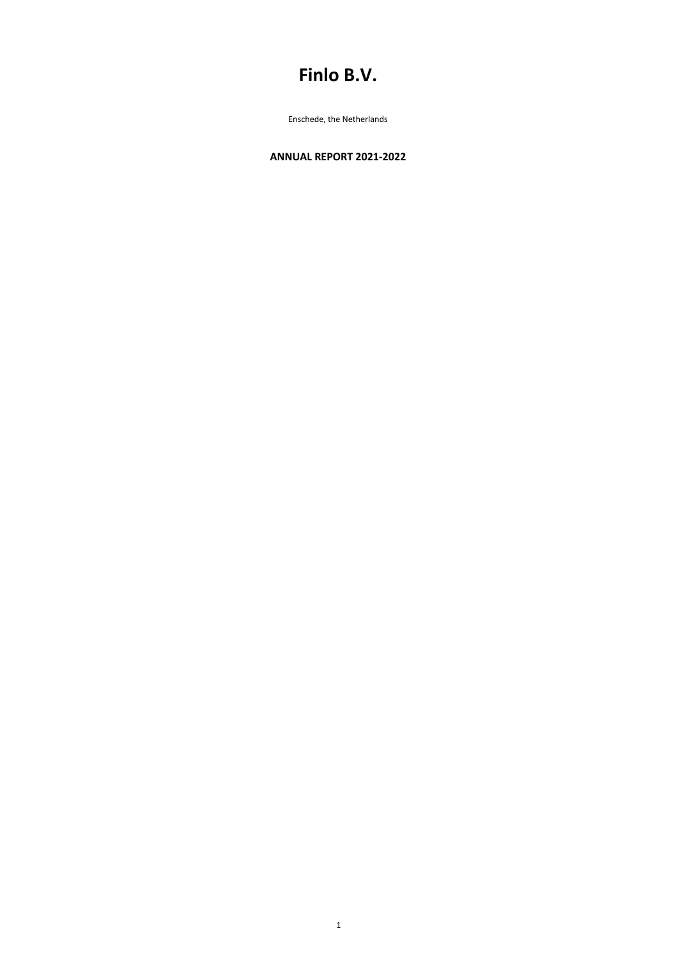# **Finlo B.V.**

Enschede, the Netherlands

# **ANNUAL REPORT 2021-2022**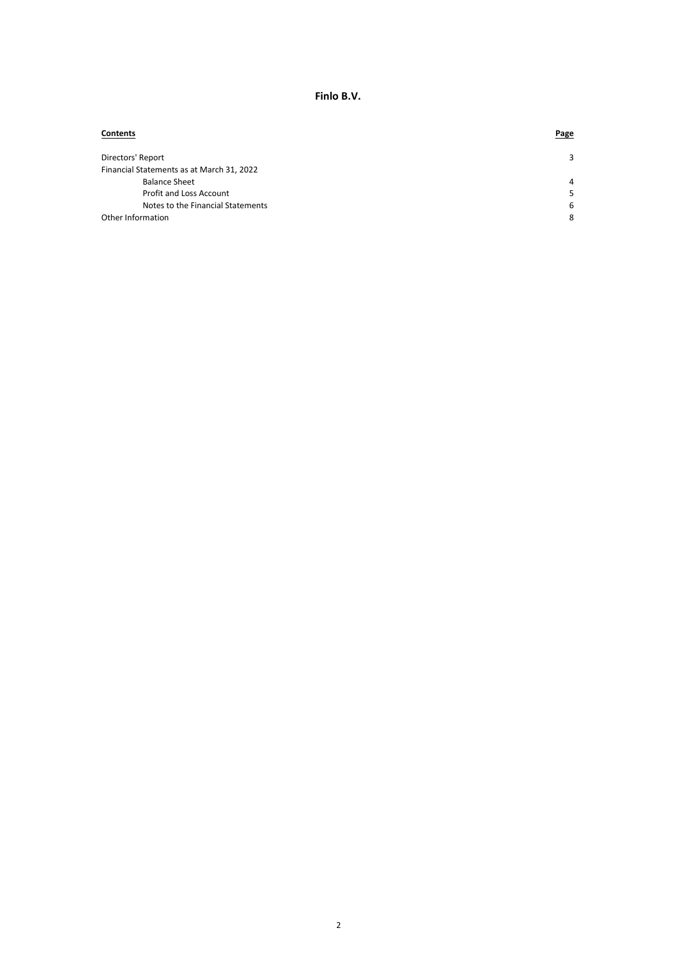| <b>Contents</b>                           | <b>Page</b>    |
|-------------------------------------------|----------------|
| Directors' Report                         | 3              |
| Financial Statements as at March 31, 2022 |                |
| <b>Balance Sheet</b>                      | $\overline{a}$ |
| Profit and Loss Account                   | 5              |
| Notes to the Financial Statements         | 6              |
| Other Information                         | 8              |

**Finlo B.V.**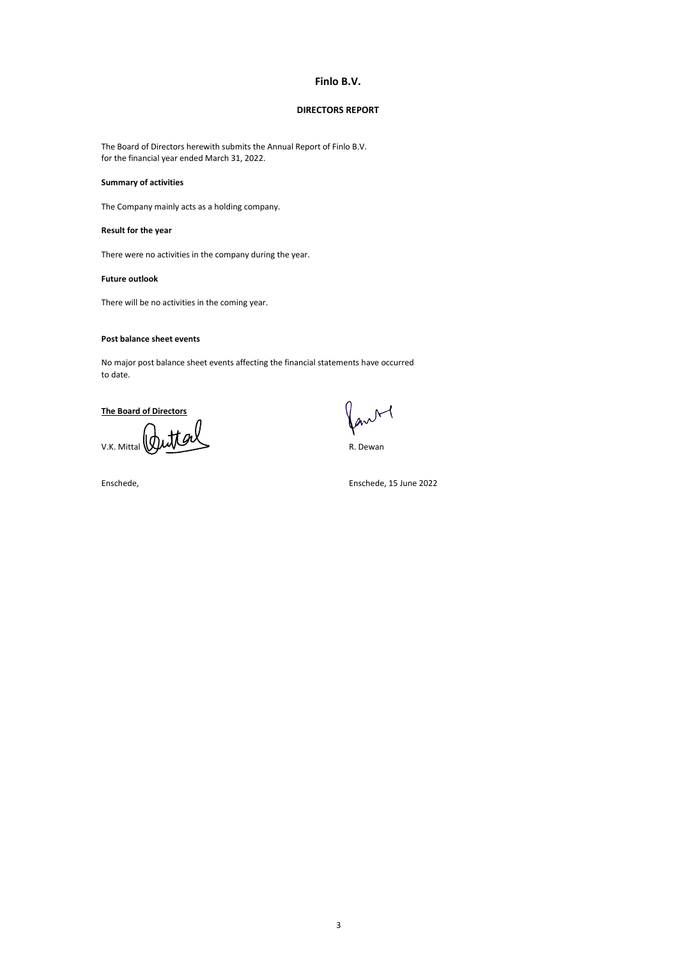The Board of Directors herewith submits the Annual Report of Finlo B.V. for the financial year ended March 31, 2022.

## **Summary of activities**

The Company mainly acts as a holding company.

# **Result for the year**

There were no activities in the company during the year.

#### **Future outlook**

There will be no activities in the coming year.

#### **Post balance sheet events**

No major post balance sheet events affecting the financial statements have occurred to date.

## **The Board of Directors**

V.K. Mittal WILLIAM COMPUTER Dewan

ant

Enschede, Enschede, 15 June 2022

# **Finlo B.V.**

#### **DIRECTORS REPORT**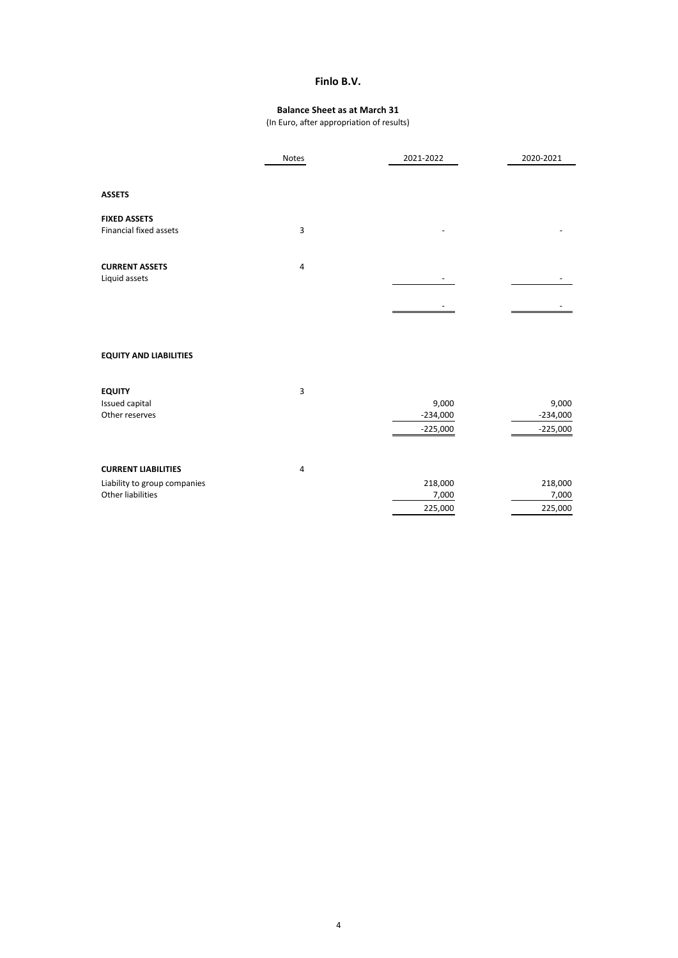|                               | Notes          | 2021-2022  | 2020-2021  |
|-------------------------------|----------------|------------|------------|
|                               |                |            |            |
| <b>ASSETS</b>                 |                |            |            |
| <b>FIXED ASSETS</b>           |                |            |            |
| Financial fixed assets        | $\mathbf{3}$   |            |            |
| <b>CURRENT ASSETS</b>         | $\overline{4}$ |            |            |
| Liquid assets                 |                |            |            |
|                               |                |            |            |
|                               |                |            |            |
| <b>EQUITY AND LIABILITIES</b> |                |            |            |
| <b>EQUITY</b>                 | $\overline{3}$ |            |            |
| Issued capital                |                | 9,000      | 9,000      |
| Other reserves                |                | $-234,000$ | $-234,000$ |
|                               |                | $-225,000$ | $-225,000$ |
| <b>CURRENT LIABILITIES</b>    | $\overline{4}$ |            |            |
| Liability to group companies  |                | 218,000    | 218,000    |
| Other liabilities             |                | 7,000      | 7,000      |

225,000 225,000

# **Finlo B.V.**

# **Balance Sheet as at March 31**

(In Euro, after appropriation of results)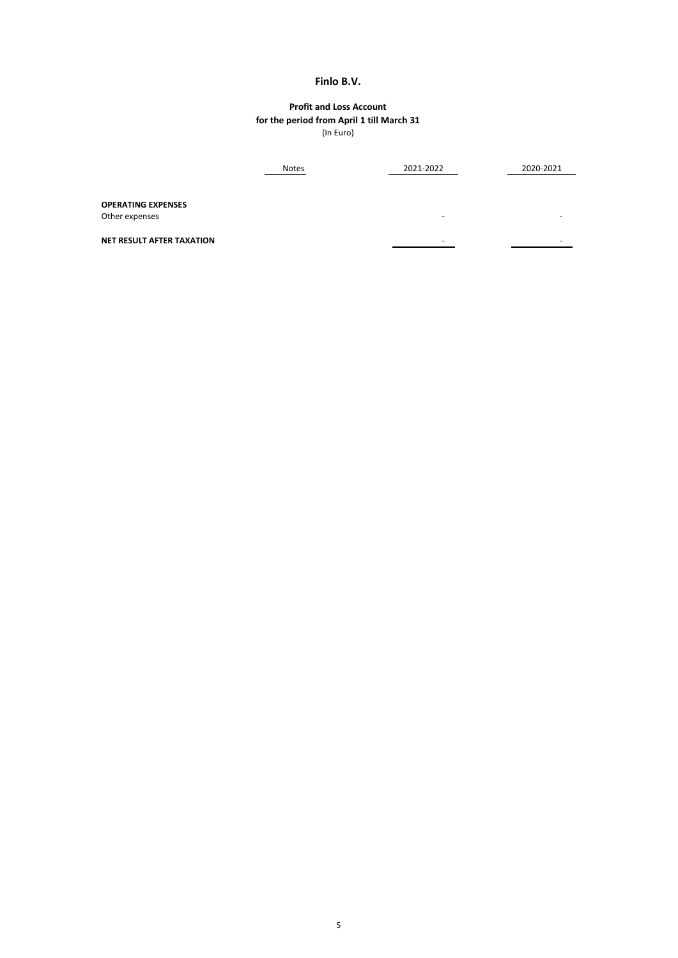|                                             | <b>Notes</b> | 2021-2022                | 2020-2021                |
|---------------------------------------------|--------------|--------------------------|--------------------------|
| <b>OPERATING EXPENSES</b><br>Other expenses |              | $\overline{\phantom{0}}$ |                          |
| <b>NET RESULT AFTER TAXATION</b>            |              | $\overline{\phantom{0}}$ | $\overline{\phantom{0}}$ |

# **Profit and Loss Account** (In Euro) **for the period from April 1 till March 31**

# **Finlo B.V.**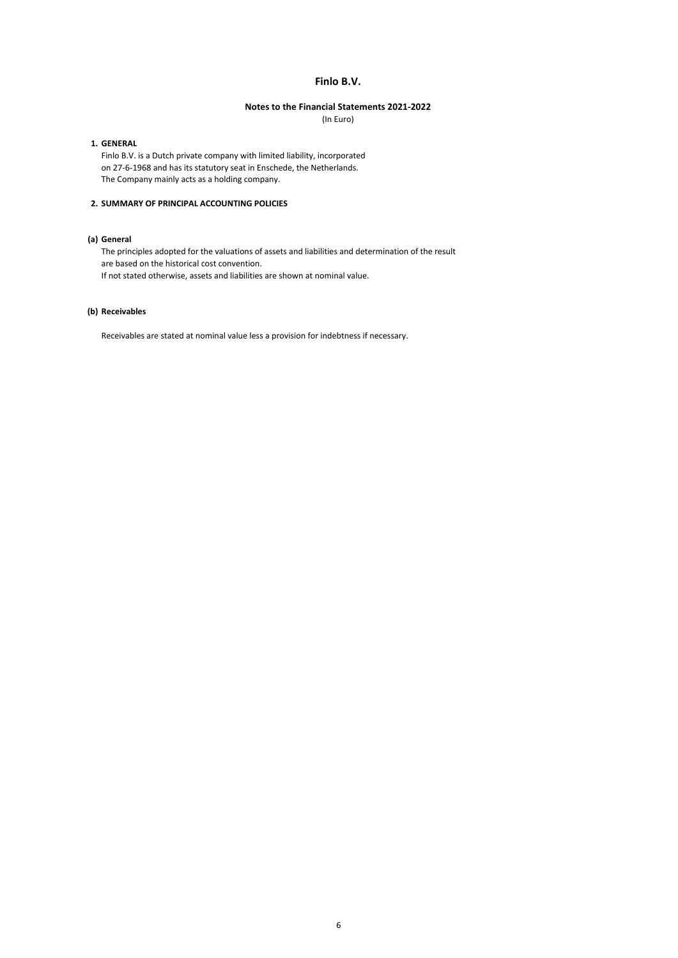#### **1. GENERAL**

Finlo B.V. is a Dutch private company with limited liability, incorporated on 27-6-1968 and has its statutory seat in Enschede, the Netherlands. The Company mainly acts as a holding company.

## **2. SUMMARY OF PRINCIPAL ACCOUNTING POLICIES**

## **(a) General**

The principles adopted for the valuations of assets and liabilities and determination of the result are based on the historical cost convention.

If not stated otherwise, assets and liabilities are shown at nominal value.

## **(b) Receivables**

Receivables are stated at nominal value less a provision for indebtness if necessary.

# **Finlo B.V.**

#### **Notes to the Financial Statements 2021-2022**

(In Euro)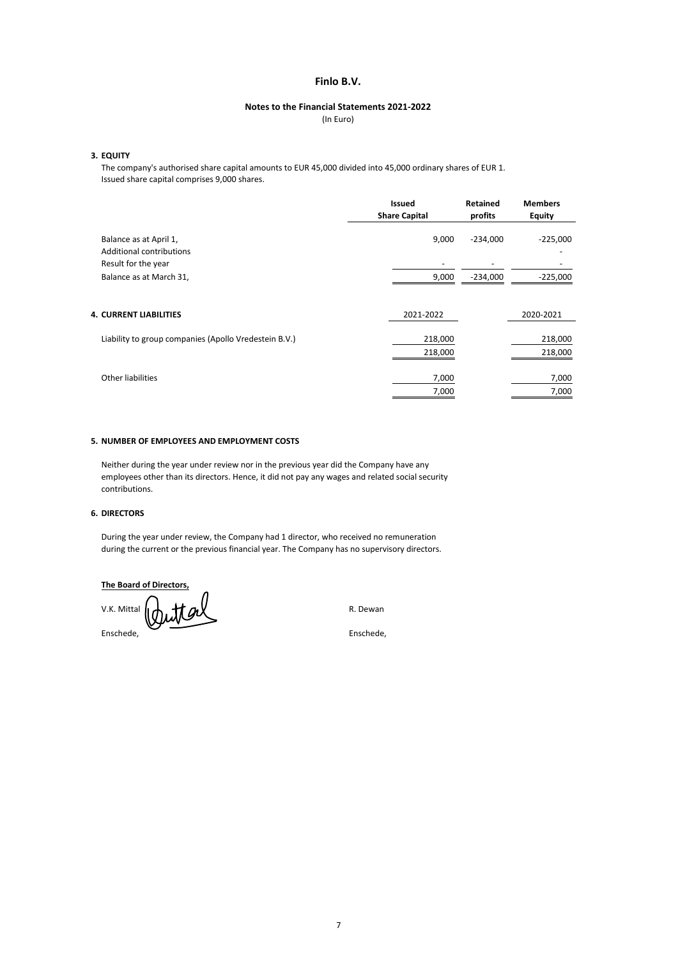## **3. EQUITY**

The company's authorised share capital amounts to EUR 45,000 divided into 45,000 ordinary shares of EUR 1. Issued share capital comprises 9,000 shares.

#### **5. NUMBER OF EMPLOYEES AND EMPLOYMENT COSTS**

|                                                       | <b>Issued</b><br><b>Share Capital</b> | <b>Retained</b><br>profits | <b>Members</b><br><b>Equity</b> |
|-------------------------------------------------------|---------------------------------------|----------------------------|---------------------------------|
| Balance as at April 1,<br>Additional contributions    | 9,000                                 | $-234,000$                 | $-225,000$                      |
| Result for the year                                   | $\qquad \qquad$                       |                            |                                 |
| Balance as at March 31,                               | 9,000                                 | $-234,000$                 | $-225,000$                      |
| <b>4. CURRENT LIABILITIES</b>                         | 2021-2022                             |                            | 2020-2021                       |
| Liability to group companies (Apollo Vredestein B.V.) | 218,000                               |                            | 218,000                         |
|                                                       | 218,000                               |                            | 218,000                         |
| Other liabilities                                     | 7,000<br>7,000                        |                            | 7,000<br>7,000                  |
|                                                       |                                       |                            |                                 |

Neither during the year under review nor in the previous year did the Company have any employees other than its directors. Hence, it did not pay any wages and related social security contributions.

#### **6. DIRECTORS**

During the year under review, the Company had 1 director, who received no remuneration during the current or the previous financial year. The Company has no supervisory directors.

**The Board of Directors,**

 $V.K.$  Mittal  $\|\phi\|$   $M\alpha\|$ 

Enschede, Enschede,

## **Finlo B.V.**

#### **Notes to the Financial Statements 2021-2022**

(In Euro)